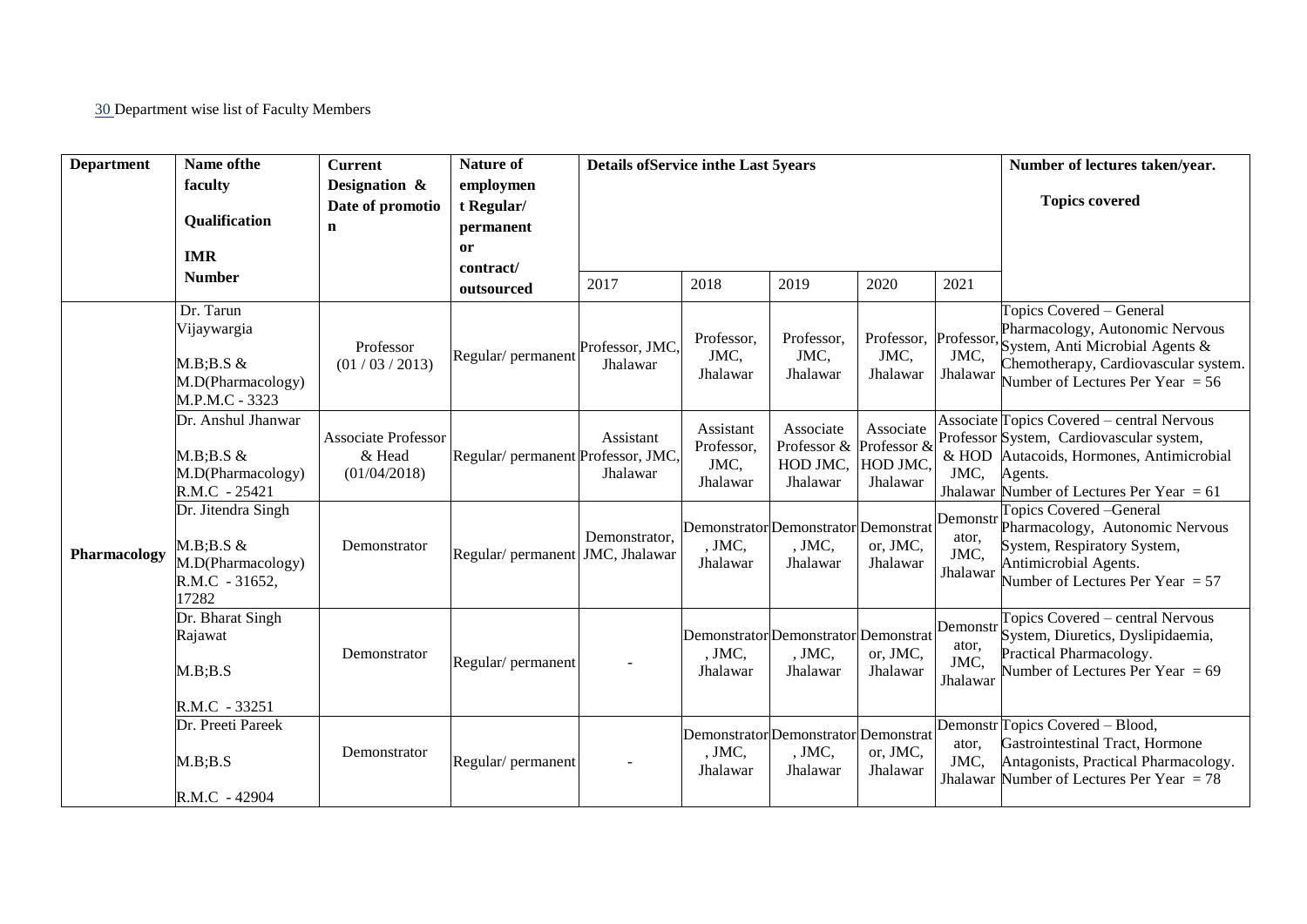30 Department wise list of Faculty Members

| <b>Department</b> | Name of the                                                                        | <b>Current</b>                                       | <b>Nature of</b>                                  | <b>Details of Service in the Last 5years</b> |                                             |                                                              |                                           |                                       | Number of lectures taken/year.                                                                                                                                                               |
|-------------------|------------------------------------------------------------------------------------|------------------------------------------------------|---------------------------------------------------|----------------------------------------------|---------------------------------------------|--------------------------------------------------------------|-------------------------------------------|---------------------------------------|----------------------------------------------------------------------------------------------------------------------------------------------------------------------------------------------|
|                   | faculty<br><b>Qualification</b><br><b>IMR</b>                                      | Designation &<br>Date of promotio<br>$\mathbf n$     | employmen<br>t Regular/<br>permanent<br><b>or</b> |                                              |                                             |                                                              |                                           |                                       | <b>Topics covered</b>                                                                                                                                                                        |
|                   | <b>Number</b>                                                                      |                                                      | contract/<br>outsourced                           | 2017                                         | 2018                                        | 2019                                                         | 2020                                      | 2021                                  |                                                                                                                                                                                              |
| Pharmacology      | Dr. Tarun<br>Vijaywargia<br>$M.B:B.S \&$<br>M.D(Pharmacology)<br>M.P.M.C - 3323    | Professor<br>(01/03/2013)                            | Regular/ permanent                                | Professor, JMC,<br>Jhalawar                  | Professor,<br>JMC,<br>Jhalawar              | Professor,<br>JMC,<br>Jhalawar                               | Professor, Professor,<br>JMC,<br>Jhalawar | JMC,<br>Jhalawar                      | Topics Covered - General<br>Pharmacology, Autonomic Nervous<br>System, Anti Microbial Agents &<br>Chemotherapy, Cardiovascular system.<br>Number of Lectures Per Year $= 56$                 |
|                   | Dr. Anshul Jhanwar<br>$M.B:B.S \&$<br>M.D(Pharmacology)<br>R.M.C - 25421           | <b>Associate Professor</b><br>& Head<br>(01/04/2018) | Regular/permanent Professor, JMC,                 | Assistant<br>Jhalawar                        | Assistant<br>Professor,<br>JMC,<br>Jhalawar | Associate<br>Professor & Professor &<br>HOD JMC,<br>Jhalawar | Associate<br>HOD JMC,<br>Jhalawar         | JMC,                                  | Associate Topics Covered – central Nervous<br>Professor System, Cardiovascular system,<br>& HOD Autacoids, Hormones, Antimicrobial<br>Agents.<br>Jhalawar Number of Lectures Per Year $= 61$ |
|                   | Dr. Jitendra Singh<br>$M.B:B.S \&$<br>M.D(Pharmacology)<br>R.M.C - 31652,<br>17282 | Demonstrator                                         | Regular/ permanent JMC, Jhalawar                  | Demonstrator,                                | , JMC,<br>Jhalawar                          | Demonstrator Demonstrator Demonstrat<br>, JMC,<br>Jhalawar   | or, JMC,<br>Jhalawar                      | Demonstr<br>ator,<br>JMC,<br>Jhalawar | Topics Covered - General<br>Pharmacology, Autonomic Nervous<br>System, Respiratory System,<br>Antimicrobial Agents.<br>Number of Lectures Per Year = $57$                                    |
|                   | Dr. Bharat Singh<br>Rajawat<br>M.B; B.S<br>R.M.C - 33251                           | Demonstrator                                         | Regular/permanent                                 |                                              | , JMC,<br>Jhalawar                          | Demonstrator Demonstrator Demonstrat<br>, JMC,<br>Jhalawar   | or, JMC,<br>Jhalawar                      | Demonstr<br>ator,<br>JMC,<br>Jhalawar | Topics Covered – central Nervous<br>System, Diuretics, Dyslipidaemia,<br>Practical Pharmacology.<br>Number of Lectures Per Year = $69$                                                       |
|                   | Dr. Preeti Pareek<br>M.B:B.S<br>R.M.C - 42904                                      | Demonstrator                                         | Regular/permanent                                 |                                              | , JMC,<br>Jhalawar                          | Demonstrator Demonstrator Demonstrat<br>, JMC,<br>Jhalawar   | or, JMC,<br>Jhalawar                      | ator.<br>JMC,                         | Demonstr Topics Covered - Blood,<br>Gastrointestinal Tract, Hormone<br>Antagonists, Practical Pharmacology.<br>Jhalawar Number of Lectures Per Year $= 78$                                   |